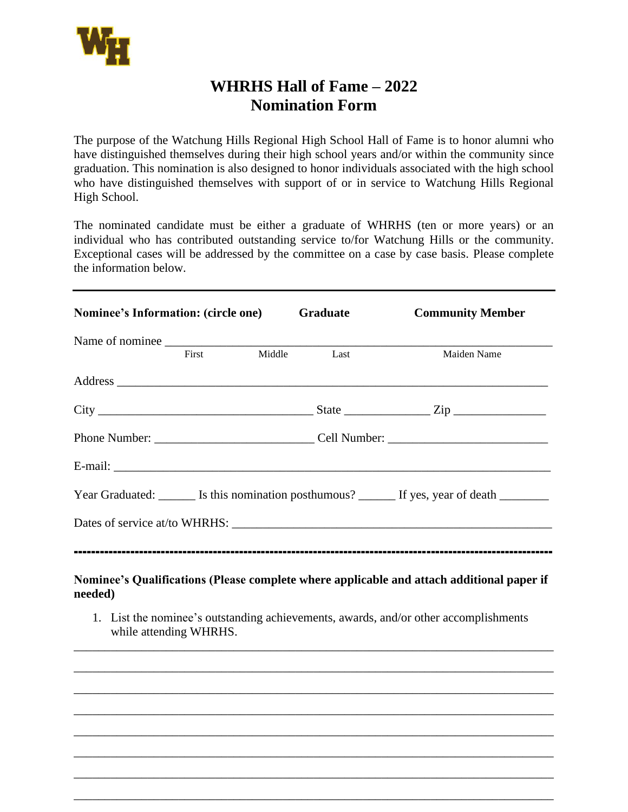

## **WHRHS Hall of Fame – 2022 Nomination Form**

The purpose of the Watchung Hills Regional High School Hall of Fame is to honor alumni who have distinguished themselves during their high school years and/or within the community since graduation. This nomination is also designed to honor individuals associated with the high school who have distinguished themselves with support of or in service to Watchung Hills Regional High School.

The nominated candidate must be either a graduate of WHRHS (ten or more years) or an individual who has contributed outstanding service to/for Watchung Hills or the community. Exceptional cases will be addressed by the committee on a case by case basis. Please complete the information below.

| <b>Nominee's Information: (circle one)</b> |                        | Graduate    | <b>Community Member</b>                                                                           |
|--------------------------------------------|------------------------|-------------|---------------------------------------------------------------------------------------------------|
| Name of nominee                            |                        |             |                                                                                                   |
|                                            | First                  | Middle Last | Maiden Name                                                                                       |
|                                            |                        |             |                                                                                                   |
|                                            |                        |             |                                                                                                   |
|                                            |                        |             |                                                                                                   |
|                                            |                        |             |                                                                                                   |
|                                            |                        |             | Year Graduated: ________ Is this nomination posthumous? ________ If yes, year of death __________ |
|                                            |                        |             |                                                                                                   |
|                                            |                        |             |                                                                                                   |
| needed)                                    |                        |             | Nominee's Qualifications (Please complete where applicable and attach additional paper if         |
|                                            | while attending WHRHS. |             | 1. List the nominee's outstanding achievements, awards, and/or other accomplishments              |
|                                            |                        |             |                                                                                                   |
|                                            |                        |             |                                                                                                   |
|                                            |                        |             |                                                                                                   |
|                                            |                        |             |                                                                                                   |
|                                            |                        |             |                                                                                                   |

\_\_\_\_\_\_\_\_\_\_\_\_\_\_\_\_\_\_\_\_\_\_\_\_\_\_\_\_\_\_\_\_\_\_\_\_\_\_\_\_\_\_\_\_\_\_\_\_\_\_\_\_\_\_\_\_\_\_\_\_\_\_\_\_\_\_\_\_\_\_\_\_\_\_\_\_\_\_

\_\_\_\_\_\_\_\_\_\_\_\_\_\_\_\_\_\_\_\_\_\_\_\_\_\_\_\_\_\_\_\_\_\_\_\_\_\_\_\_\_\_\_\_\_\_\_\_\_\_\_\_\_\_\_\_\_\_\_\_\_\_\_\_\_\_\_\_\_\_\_\_\_\_\_\_\_\_